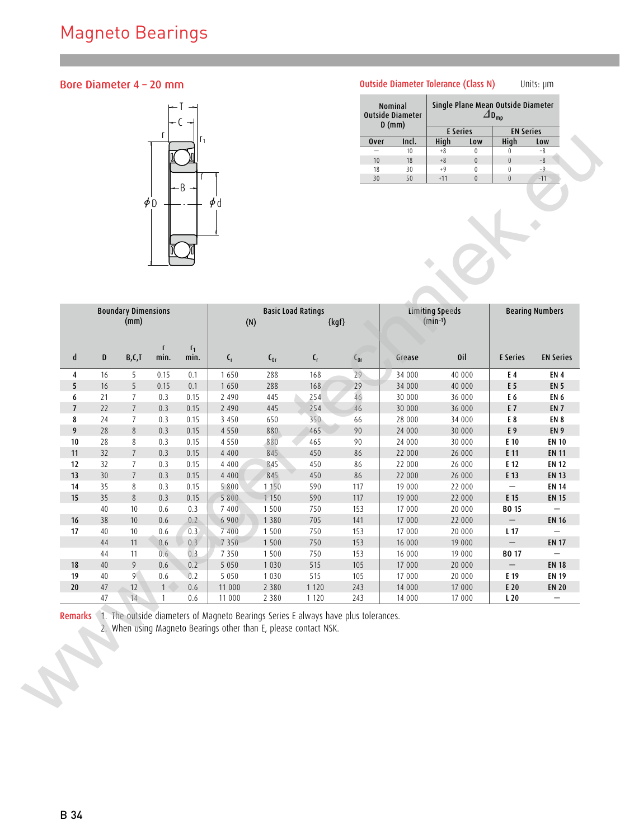## Magneto Bearings

## Bore Diameter 4 – 20 mm



## Outside Diameter Tolerance (Class N) Units: µm

| Nominal<br><b>Outside Diameter</b><br>$D$ (mm) |       | Single Plane Mean Outside Diameter |          |                  |       |  |  |  |
|------------------------------------------------|-------|------------------------------------|----------|------------------|-------|--|--|--|
|                                                |       | <b>E</b> Series                    |          | <b>EN Series</b> |       |  |  |  |
| <b>Over</b>                                    | Incl. | High                               | Low      | High             | Low   |  |  |  |
|                                                | 10    | $+8$                               | 0        |                  | $-8$  |  |  |  |
| 10                                             | 18    | $+8$                               | $\Omega$ | O                | $-8$  |  |  |  |
| 18                                             | 30    | $+9$                               | ۵        | 0                | $-9$  |  |  |  |
| 30                                             | 50    | $+11$                              |          |                  | $-11$ |  |  |  |

|                          |             |                                    | $\phi$ <sup>D</sup>  |               | $\phi$ d                  |          |                           |                 |        |                                        |                          |                          |
|--------------------------|-------------|------------------------------------|----------------------|---------------|---------------------------|----------|---------------------------|-----------------|--------|----------------------------------------|--------------------------|--------------------------|
|                          |             | <b>Boundary Dimensions</b><br>(mm) |                      |               | (N)                       |          | <b>Basic Load Ratings</b> | $\{{\sf kgf}\}$ |        | <b>Limiting Speeds</b><br>$(min^{-1})$ |                          | <b>Bearing Numbers</b>   |
| $\mathsf{d}$             | $\mathbf D$ | B, C, T                            | $\mathbf{f}$<br>min. | $r_1$<br>min. | $\mathsf{C}_{\mathsf{r}}$ | $C_{0r}$ | $\mathsf{C}_{\mathsf{r}}$ | $C_{0r}$        | Grease | 0il                                    | <b>E</b> Series          | <b>EN Series</b>         |
| $\overline{4}$           | 16          | 5                                  | 0.15                 | 0.1           | 1650                      | 288      | 168                       | 29              | 34 000 | 40 000                                 | E 4                      | EN <sub>4</sub>          |
| $\sqrt{5}$               | $16$        | $5\phantom{.0}$                    | 0.15                 | 0.1           | 1650                      | 288      | 168                       | 29              | 34 000 | 40 000                                 | E 5                      | <b>EN 5</b>              |
| 6                        | 21          | $7\overline{ }$                    | 0.3                  | 0.15          | 2 4 9 0                   | 445      | 254                       | 46              | 30 000 | 36 000                                 | E 6                      | EN <sub>6</sub>          |
| $\overline{7}$           | 22          | $7\overline{ }$                    | 0.3                  | 0.15          | 2 4 9 0                   | 445      | 254                       | 46              | 30 000 | 36 000                                 | E 7                      | EN <sub>7</sub>          |
| 8                        | 24          | $7\overline{ }$                    | 0.3                  | 0.15          | 3 4 5 0                   | 650      | 350                       | 66              | 28 000 | 34 000                                 | E 8                      | EN 8                     |
| $\overline{\phantom{a}}$ | 28          | $\,$ 8                             | 0.3                  | 0.15          | 4 5 5 0                   | 880      | 465                       | $90\,$          | 24 000 | 30 000                                 | E 9                      | EN <sub>9</sub>          |
| 10                       | 28          | 8                                  | 0.3                  | 0.15          | 4 5 5 0                   | 880      | 465                       | 90              | 24 000 | 30 000                                 | E 10                     | <b>EN 10</b>             |
| 11                       | 32          | $\overline{7}$                     | 0.3                  | 0.15          | 4 4 0 0                   | 845      | 450                       | 86              | 22 000 | 26 000                                 | E 11                     | <b>EN 11</b>             |
| 12                       | 32          | $\overline{7}$                     | 0.3                  | 0.15          | 4 4 0 0                   | 845      | 450                       | 86              | 22 000 | 26 000                                 | E 12                     | <b>EN 12</b>             |
| 13                       | 30          | $7\overline{ }$                    | 0.3                  | 0.15          | 4 4 0 0                   | 845      | 450                       | $86\,$          | 22 000 | 26 000                                 | E 13                     | <b>EN 13</b>             |
| 14                       | 35          | $8\phantom{.0}$                    | 0.3                  | 0.15          | 5 8 0 0                   | 1 1 5 0  | 590                       | 117             | 19 000 | 22 000                                 | $\overline{\phantom{m}}$ | <b>EN 14</b>             |
| 15                       | 35          | $\,$ 8 $\,$                        | 0.3                  | 0.15          | 5 8 0 0                   | 1150     | 590                       | 117             | 19 000 | 22 000                                 | E 15                     | <b>EN 15</b>             |
|                          | 40          | 10                                 | $0.6\,$              | 0.3           | 7 4 0 0                   | 1500     | 750                       | 153             | 17 000 | 20 000                                 | <b>BO 15</b>             | $\overline{\phantom{m}}$ |
| 16                       | 38          | 10                                 | $0.6\,$              | 0.2           | 6 900                     | 1380     | 705                       | 141             | 17 000 | 22 000                                 | $\equiv$                 | <b>EN 16</b>             |
| 17                       | 40          | 10                                 | 0.6                  | 0.3           | 7 4 0 0                   | 1500     | 750                       | 153             | 17 000 | 20 000                                 | L 17                     | $\overline{\phantom{m}}$ |
|                          | 44          | 11                                 | 0.6                  | 0.3           | 7 3 5 0                   | 1500     | 750                       | 153             | 16 000 | 19 000                                 | $\equiv$                 | <b>EN 17</b>             |
|                          | 44          | 11                                 | 0.6 <sup>°</sup>     | 0.3           | 7 3 5 0                   | 1500     | 750                       | 153             | 16 000 | 19 000                                 | <b>BO 17</b>             | $\overline{\phantom{a}}$ |
| 18<br>19                 | 40          | 9                                  | 0.6                  | 0.2           | 5 0 5 0                   | 1 0 3 0  | 515                       | 105             | 17 000 | 20 000                                 | $\overline{\phantom{m}}$ | <b>EN 18</b>             |
|                          | 40          | 9 <sup>°</sup>                     | 0.6                  | 0.2           | 5 0 5 0                   | 1 0 3 0  | 515                       | 105             | 17 000 | 20 000                                 | E 19                     | <b>EN 19</b>             |
|                          | 47<br>47    | 12<br>14                           | $\mathbf{1}$         | 0.6           | 11 000                    | 2 3 8 0  | 1 1 2 0                   | 243             | 14 000 | 17 000                                 | E 20                     | <b>EN 20</b>             |
| $20\,$                   |             |                                    | $\mathbf{1}$         | 0.6           | 11 000                    | 2 3 8 0  | 1 1 2 0                   | 243             | 14 000 | 17 000                                 | L20                      | $-$                      |